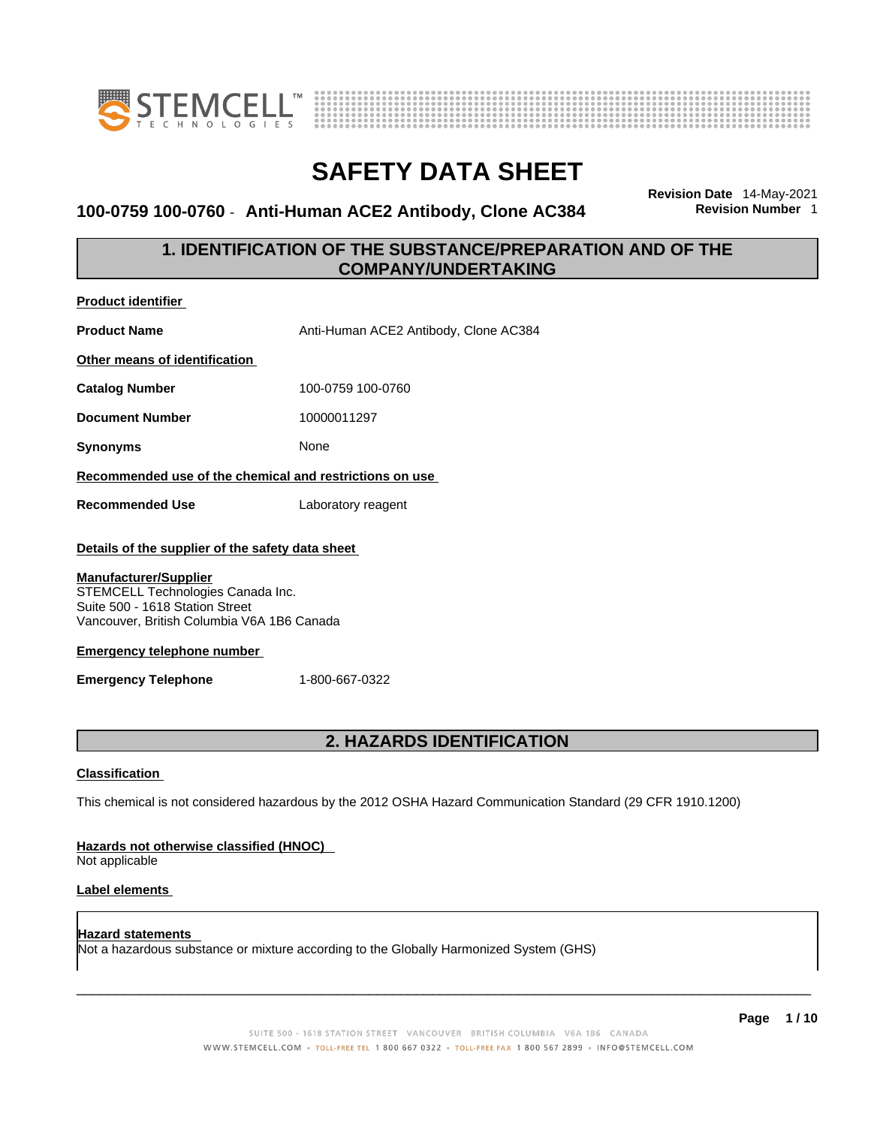

**Product identifier**



# **SAFETY DATA SHEET**

### **100-0759 100-0760** - **Anti-Human ACE2 Antibody, Clone AC384 Revision Number** 1

**Revision Date** 14-May-2021

### **1. IDENTIFICATION OF THE SUBSTANCE/PREPARATION AND OF THE COMPANY/UNDERTAKING**

| <b>Product Name</b>                                                                                                                                                                                                                                                                         | Anti-Human ACE2 Antibody, Clone AC384                                                                       |  |
|---------------------------------------------------------------------------------------------------------------------------------------------------------------------------------------------------------------------------------------------------------------------------------------------|-------------------------------------------------------------------------------------------------------------|--|
| Other means of identification                                                                                                                                                                                                                                                               |                                                                                                             |  |
| <b>Catalog Number</b>                                                                                                                                                                                                                                                                       | 100-0759 100-0760                                                                                           |  |
| <b>Document Number</b>                                                                                                                                                                                                                                                                      | 10000011297                                                                                                 |  |
| <b>Synonyms</b>                                                                                                                                                                                                                                                                             | None                                                                                                        |  |
| Recommended use of the chemical and restrictions on use                                                                                                                                                                                                                                     |                                                                                                             |  |
| <b>Recommended Use</b>                                                                                                                                                                                                                                                                      | Laboratory reagent                                                                                          |  |
| Details of the supplier of the safety data sheet<br><b>Manufacturer/Supplier</b><br>STEMCELL Technologies Canada Inc.<br>Suite 500 - 1618 Station Street<br>Vancouver, British Columbia V6A 1B6 Canada<br><b>Emergency telephone number</b><br>1-800-667-0322<br><b>Emergency Telephone</b> |                                                                                                             |  |
| <b>2. HAZARDS IDENTIFICATION</b>                                                                                                                                                                                                                                                            |                                                                                                             |  |
| <b>Classification</b>                                                                                                                                                                                                                                                                       |                                                                                                             |  |
|                                                                                                                                                                                                                                                                                             | This chemical is not considered hazardous by the 2012 OSHA Hazard Communication Standard (29 CFR 1910.1200) |  |
| Hazards not otherwise classified (HNOC)<br>Not applicable                                                                                                                                                                                                                                   |                                                                                                             |  |

### **Label elements**

**Hazard statements**  Not a hazardous substance or mixture according to the Globally Harmonized System (GHS)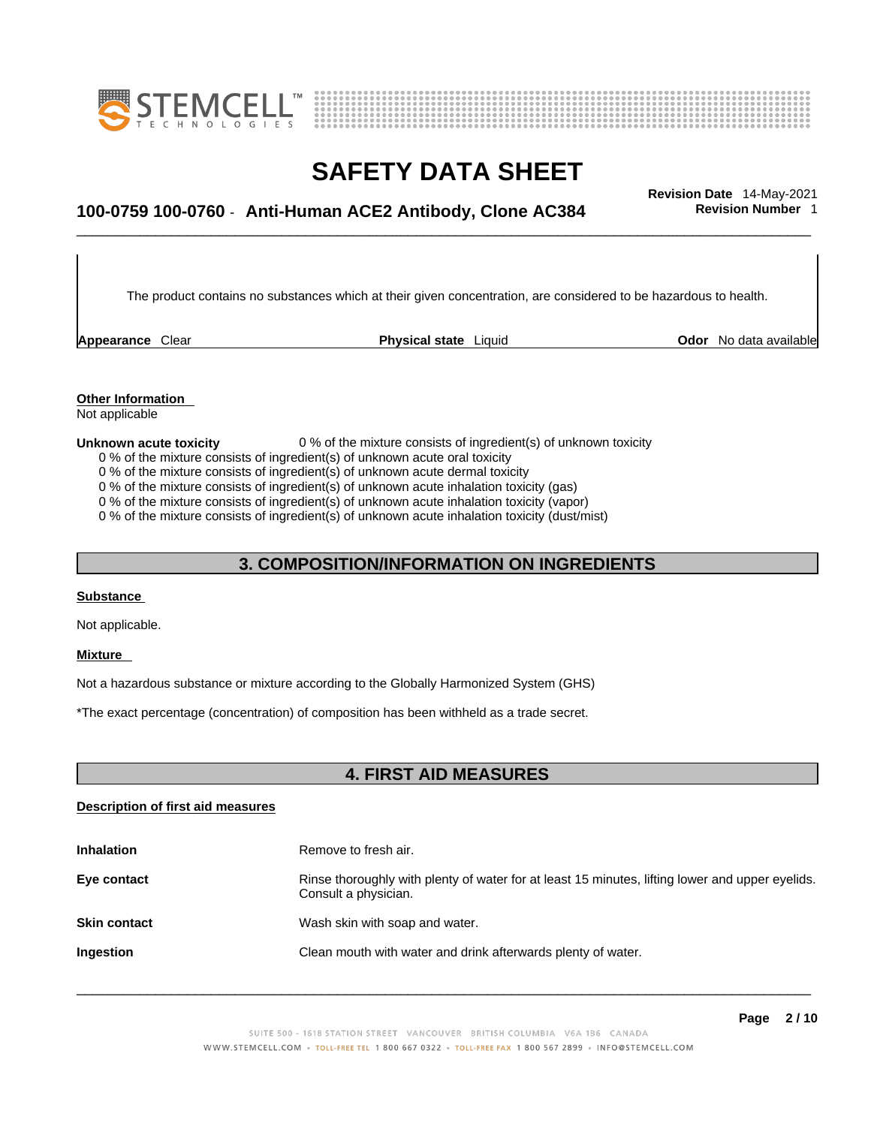



## \_\_\_\_\_\_\_\_\_\_\_\_\_\_\_\_\_\_\_\_\_\_\_\_\_\_\_\_\_\_\_\_\_\_\_\_\_\_\_\_\_\_\_\_\_\_\_\_\_\_\_\_\_\_\_\_\_\_\_\_\_\_\_\_\_\_\_\_\_\_\_\_\_\_\_\_\_\_\_\_\_\_\_\_\_\_\_\_\_\_\_\_\_ **Revision Date** 14-May-2021 **100-0759 100-0760** - **Anti-Human ACE2 Antibody, Clone AC384 Revision Number** 1

The product contains no substances which at their given concentration, are considered to be hazardous to health.

**Appearance** Clear **Physical state** Liquid

**Odor** No data available

**Other Information**  Not applicable

#### **Unknown acute toxicity** 0 % of the mixture consists of ingredient(s) of unknown toxicity

0 % of the mixture consists of ingredient(s) of unknown acute oral toxicity

0 % of the mixture consists of ingredient(s) of unknown acute dermal toxicity

0 % of the mixture consists of ingredient(s) of unknown acute inhalation toxicity (gas)

0 % of the mixture consists of ingredient(s) of unknown acute inhalation toxicity (vapor)

0 % of the mixture consists of ingredient(s) of unknown acute inhalation toxicity (dust/mist)

### **3. COMPOSITION/INFORMATION ON INGREDIENTS**

### **Substance**

Not applicable.

#### **Mixture**

Not a hazardous substance or mixture according to the Globally Harmonized System (GHS)

\*The exact percentage (concentration) of composition has been withheld as a trade secret.

### **4. FIRST AID MEASURES**

### **Description of first aid measures**

| <b>Inhalation</b>   | Remove to fresh air.                                                                                                    |
|---------------------|-------------------------------------------------------------------------------------------------------------------------|
| Eye contact         | Rinse thoroughly with plenty of water for at least 15 minutes, lifting lower and upper eyelids.<br>Consult a physician. |
| <b>Skin contact</b> | Wash skin with soap and water.                                                                                          |
| Ingestion           | Clean mouth with water and drink afterwards plenty of water.                                                            |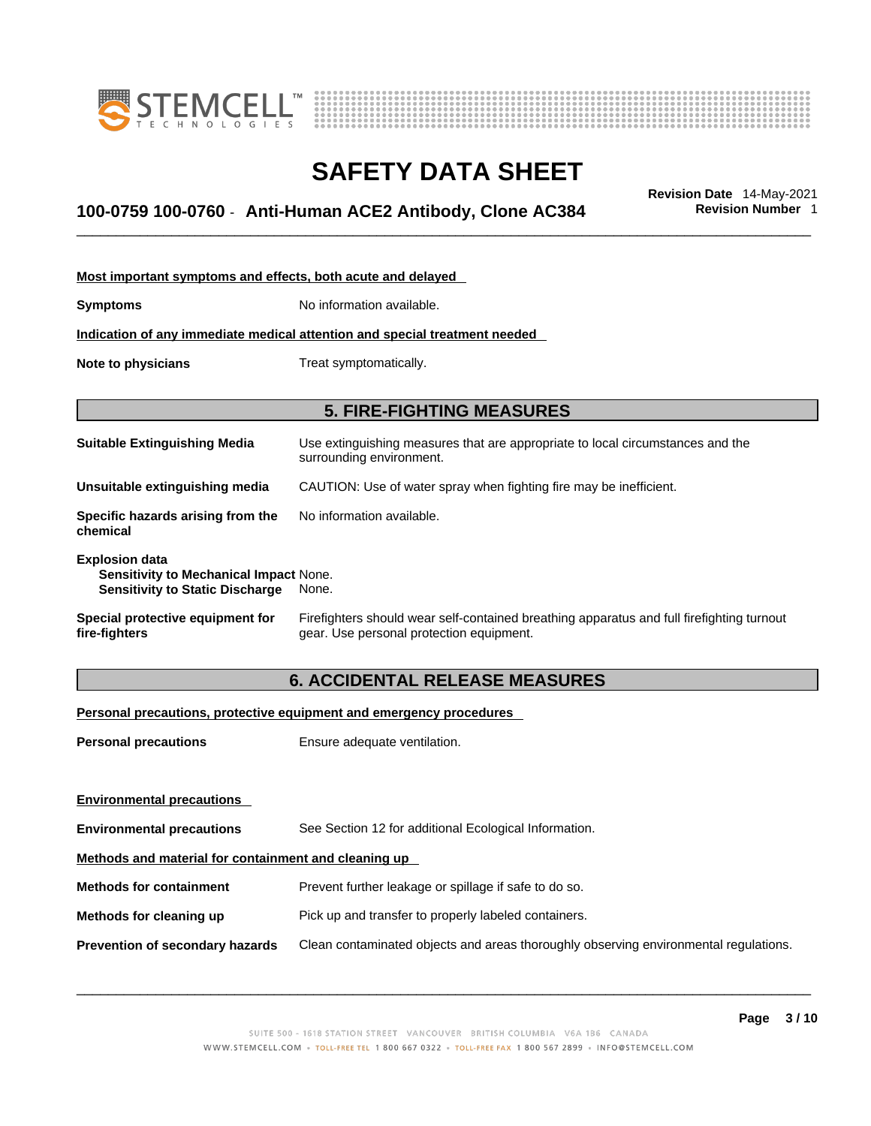



## \_\_\_\_\_\_\_\_\_\_\_\_\_\_\_\_\_\_\_\_\_\_\_\_\_\_\_\_\_\_\_\_\_\_\_\_\_\_\_\_\_\_\_\_\_\_\_\_\_\_\_\_\_\_\_\_\_\_\_\_\_\_\_\_\_\_\_\_\_\_\_\_\_\_\_\_\_\_\_\_\_\_\_\_\_\_\_\_\_\_\_\_\_ **Revision Date** 14-May-2021 **100-0759 100-0760** - **Anti-Human ACE2 Antibody, Clone AC384 Revision Number** 1

| Most important symptoms and effects, both acute and delayed                                                      |                                                                                                                                       |  |
|------------------------------------------------------------------------------------------------------------------|---------------------------------------------------------------------------------------------------------------------------------------|--|
| <b>Symptoms</b>                                                                                                  | No information available.                                                                                                             |  |
|                                                                                                                  | Indication of any immediate medical attention and special treatment needed                                                            |  |
| Note to physicians                                                                                               | Treat symptomatically.                                                                                                                |  |
|                                                                                                                  |                                                                                                                                       |  |
|                                                                                                                  | <b>5. FIRE-FIGHTING MEASURES</b>                                                                                                      |  |
| <b>Suitable Extinguishing Media</b>                                                                              | Use extinguishing measures that are appropriate to local circumstances and the<br>surrounding environment.                            |  |
| Unsuitable extinguishing media                                                                                   | CAUTION: Use of water spray when fighting fire may be inefficient.                                                                    |  |
| Specific hazards arising from the<br>chemical                                                                    | No information available.                                                                                                             |  |
| <b>Explosion data</b><br><b>Sensitivity to Mechanical Impact None.</b><br><b>Sensitivity to Static Discharge</b> | None.                                                                                                                                 |  |
| Special protective equipment for<br>fire-fighters                                                                | Firefighters should wear self-contained breathing apparatus and full firefighting turnout<br>gear. Use personal protection equipment. |  |

### **6. ACCIDENTAL RELEASE MEASURES**

### **Personal precautions, protective equipment and emergency procedures**

| <b>Personal precautions</b>                          | Ensure adequate ventilation.                                                         |  |
|------------------------------------------------------|--------------------------------------------------------------------------------------|--|
| <b>Environmental precautions</b>                     |                                                                                      |  |
| <b>Environmental precautions</b>                     | See Section 12 for additional Ecological Information.                                |  |
| Methods and material for containment and cleaning up |                                                                                      |  |
| <b>Methods for containment</b>                       | Prevent further leakage or spillage if safe to do so.                                |  |
| Methods for cleaning up                              | Pick up and transfer to properly labeled containers.                                 |  |
| <b>Prevention of secondary hazards</b>               | Clean contaminated objects and areas thoroughly observing environmental regulations. |  |
|                                                      |                                                                                      |  |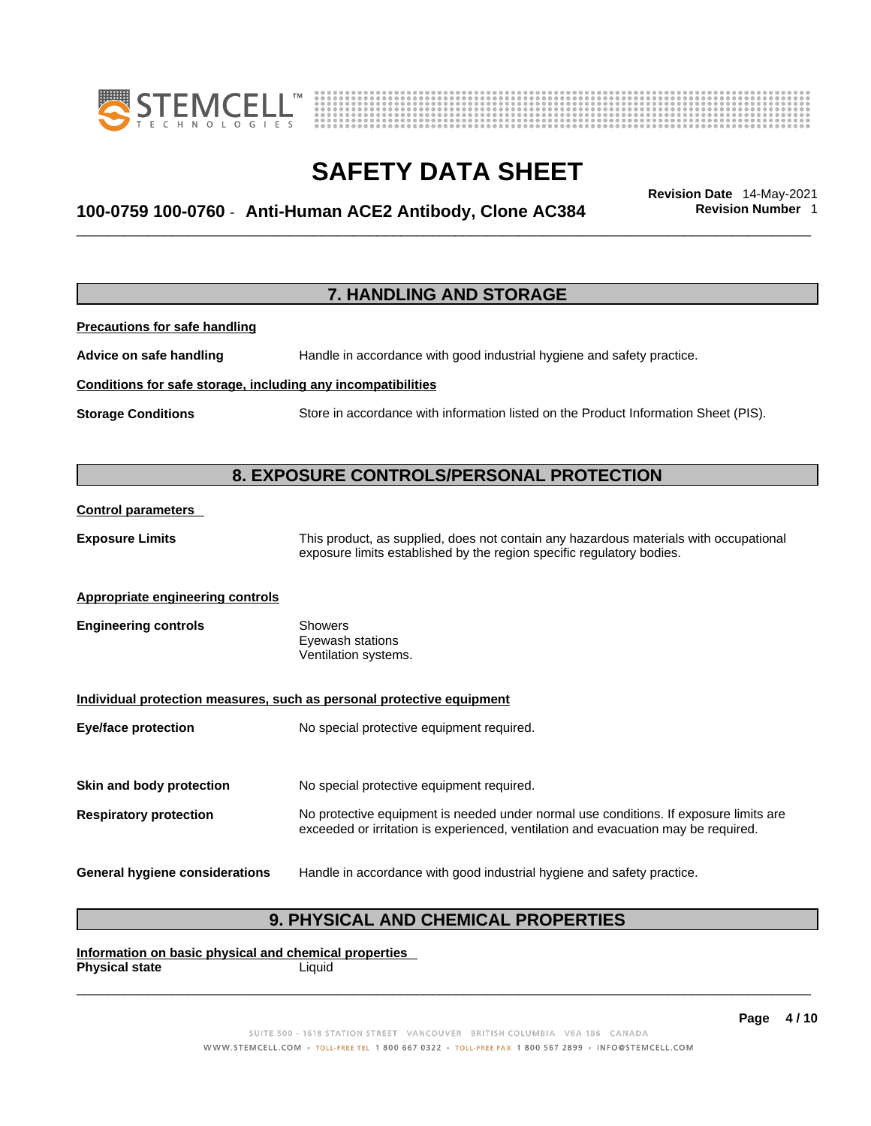



## \_\_\_\_\_\_\_\_\_\_\_\_\_\_\_\_\_\_\_\_\_\_\_\_\_\_\_\_\_\_\_\_\_\_\_\_\_\_\_\_\_\_\_\_\_\_\_\_\_\_\_\_\_\_\_\_\_\_\_\_\_\_\_\_\_\_\_\_\_\_\_\_\_\_\_\_\_\_\_\_\_\_\_\_\_\_\_\_\_\_\_\_\_ **Revision Date** 14-May-2021 **100-0759 100-0760** - **Anti-Human ACE2 Antibody, Clone AC384 Revision Number** 1

|                                                              | 7. HANDLING AND STORAGE                                                                                                                                                     |
|--------------------------------------------------------------|-----------------------------------------------------------------------------------------------------------------------------------------------------------------------------|
| <b>Precautions for safe handling</b>                         |                                                                                                                                                                             |
| Advice on safe handling                                      | Handle in accordance with good industrial hygiene and safety practice.                                                                                                      |
| Conditions for safe storage, including any incompatibilities |                                                                                                                                                                             |
| <b>Storage Conditions</b>                                    | Store in accordance with information listed on the Product Information Sheet (PIS).                                                                                         |
|                                                              | 8. EXPOSURE CONTROLS/PERSONAL PROTECTION                                                                                                                                    |
| <b>Control parameters</b>                                    |                                                                                                                                                                             |
| <b>Exposure Limits</b>                                       | This product, as supplied, does not contain any hazardous materials with occupational<br>exposure limits established by the region specific regulatory bodies.              |
| Appropriate engineering controls                             |                                                                                                                                                                             |
| <b>Engineering controls</b>                                  | <b>Showers</b><br>Eyewash stations<br>Ventilation systems.                                                                                                                  |
|                                                              | Individual protection measures, such as personal protective equipment                                                                                                       |
| <b>Eye/face protection</b>                                   | No special protective equipment required.                                                                                                                                   |
| Skin and body protection                                     | No special protective equipment required.                                                                                                                                   |
| <b>Respiratory protection</b>                                | No protective equipment is needed under normal use conditions. If exposure limits are<br>exceeded or irritation is experienced, ventilation and evacuation may be required. |
| <b>General hygiene considerations</b>                        | Handle in accordance with good industrial hygiene and safety practice.                                                                                                      |

### **9. PHYSICAL AND CHEMICAL PROPERTIES**

**Information on basic physical and chemical properties Physical state** Liquid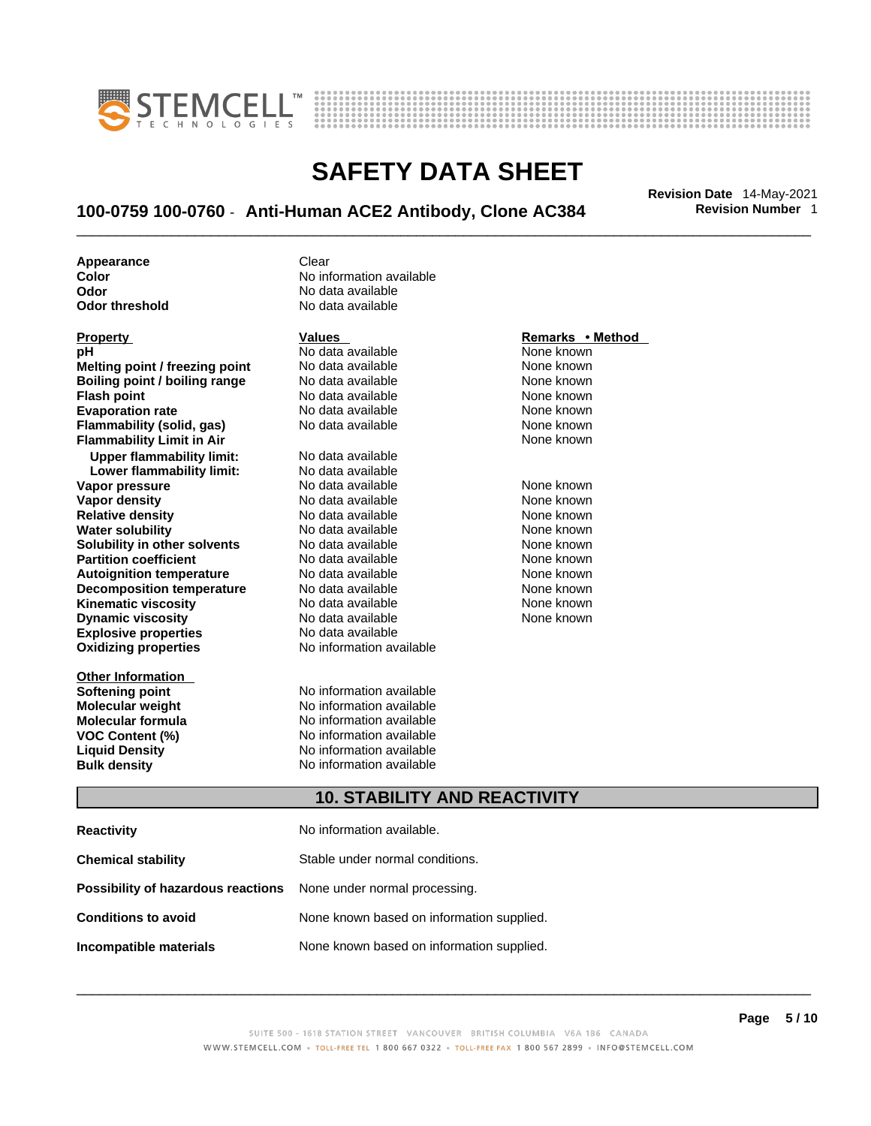



## \_\_\_\_\_\_\_\_\_\_\_\_\_\_\_\_\_\_\_\_\_\_\_\_\_\_\_\_\_\_\_\_\_\_\_\_\_\_\_\_\_\_\_\_\_\_\_\_\_\_\_\_\_\_\_\_\_\_\_\_\_\_\_\_\_\_\_\_\_\_\_\_\_\_\_\_\_\_\_\_\_\_\_\_\_\_\_\_\_\_\_\_\_ **Revision Date** 14-May-2021 **100-0759 100-0760** - **Anti-Human ACE2 Antibody, Clone AC384 Revision Number** 1

**Appearance Clear** 

**Explosive properties**<br> **Oxidizing properties**<br> **Oxidizing properties**<br> **No information available Oxidizing properties Property CONSCRUTE ACCORDING METHOD Values <b>CONSCRUTE ACCORDING METHOD METHOD METHOD VALUES Property Remarks** • **Method pH** No data available None known **Melting point / freezing point** No data available None known<br> **Rojling point / bojling range** No data available None Known None known **Boiling point / boiling range** No data available **None known**<br>
No data available **None known**<br>
No data available **None known Evaporation rate Cone Cone Access Mone Cone Cone Cone Access Provident Cone Cone Access Provident Cone known<br>
<b>Flammability (solid. gas)** No data available Cone Cone Known **Flammability (solid, gas)** No data available None known **Flammability Limit in Air None known None known Upper flammability limit:** No data available **Lower flammability limit:** No data available **Vapor pressure** 1980 in the Modata available 1980 in the Known None known<br> **Vapor density** 1980 in the None Known None known None known **Vapor density** No data available None known **Relative density Water solubility** No data available None known **Solubility in other solvents** No data available None known **Partition coefficient**<br> **Autoignition temperature**<br>
No data available None None known<br>
None known **Autoignition temperature** Mo data available Mone known<br> **Decomposition temperature** No data available None known **Decomposition temperature** No data available<br> **Kinematic viscosity** No data available **Kinematic viscosity No data available None known**<br> **Discussible No data available None known**<br>
None known **Dynamic viscosity No data available None known** 

**Other Information** 

**Color Color Color Color Color Color Color Color Color Color Color Color Color Color Color Color Color Color Color Color Color Color Color Color Color Color Color Color Odor No data available**<br> **Odor threshold No data available** No data available

**No data available** 

**Softening point**<br> **Molecular weight**<br> **Molecular weight**<br> **Molecular weight**<br> **Molecular weight No information available Molecular formula** No information available **VOC Content (%)**<br> **Content (%)**<br>
No information available<br>
No information available **No information available Bulk density No information available** 

### **10. STABILITY AND REACTIVITY**

| <b>Reactivity</b>                                                       | No information available.                 |
|-------------------------------------------------------------------------|-------------------------------------------|
| <b>Chemical stability</b>                                               | Stable under normal conditions.           |
| <b>Possibility of hazardous reactions</b> None under normal processing. |                                           |
| <b>Conditions to avoid</b>                                              | None known based on information supplied. |
| Incompatible materials                                                  | None known based on information supplied. |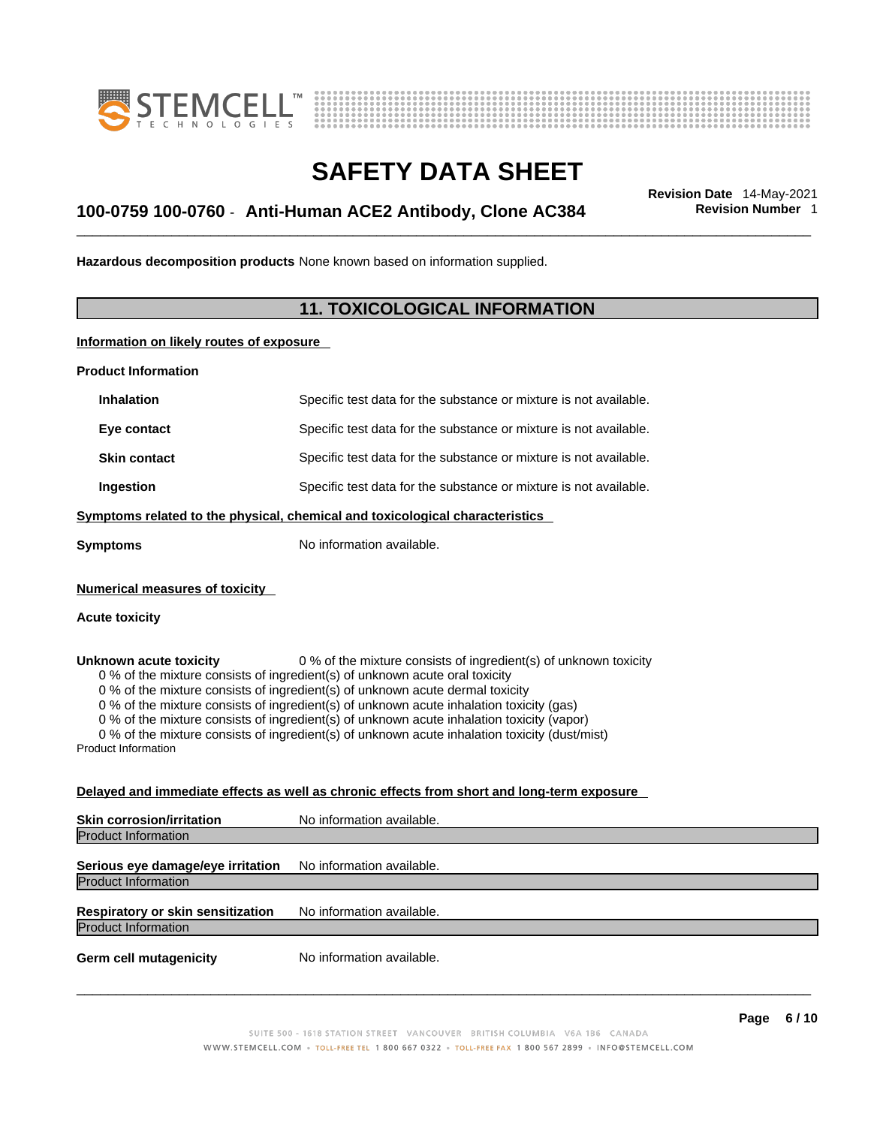



## \_\_\_\_\_\_\_\_\_\_\_\_\_\_\_\_\_\_\_\_\_\_\_\_\_\_\_\_\_\_\_\_\_\_\_\_\_\_\_\_\_\_\_\_\_\_\_\_\_\_\_\_\_\_\_\_\_\_\_\_\_\_\_\_\_\_\_\_\_\_\_\_\_\_\_\_\_\_\_\_\_\_\_\_\_\_\_\_\_\_\_\_\_ **Revision Date** 14-May-2021 **100-0759 100-0760** - **Anti-Human ACE2 Antibody, Clone AC384 Revision Number** 1

**Hazardous decomposition products** None known based on information supplied.

### **11. TOXICOLOGICAL INFORMATION**

**Information on likely routes of exposure**

**Product Information**

| <b>Inhalation</b>                                              | Specific test data for the substance or mixture is not available.                                                                                                                                                                                                                                                                                                                                                                                                                                                         |
|----------------------------------------------------------------|---------------------------------------------------------------------------------------------------------------------------------------------------------------------------------------------------------------------------------------------------------------------------------------------------------------------------------------------------------------------------------------------------------------------------------------------------------------------------------------------------------------------------|
| Eye contact                                                    | Specific test data for the substance or mixture is not available.                                                                                                                                                                                                                                                                                                                                                                                                                                                         |
| <b>Skin contact</b>                                            | Specific test data for the substance or mixture is not available.                                                                                                                                                                                                                                                                                                                                                                                                                                                         |
| Ingestion                                                      | Specific test data for the substance or mixture is not available.                                                                                                                                                                                                                                                                                                                                                                                                                                                         |
|                                                                | Symptoms related to the physical, chemical and toxicological characteristics                                                                                                                                                                                                                                                                                                                                                                                                                                              |
| Symptoms                                                       | No information available.                                                                                                                                                                                                                                                                                                                                                                                                                                                                                                 |
| <b>Numerical measures of toxicity</b><br><b>Acute toxicity</b> |                                                                                                                                                                                                                                                                                                                                                                                                                                                                                                                           |
| Unknown acute toxicity<br>Product Information                  | 0 % of the mixture consists of ingredient(s) of unknown toxicity<br>0 % of the mixture consists of ingredient(s) of unknown acute oral toxicity<br>0 % of the mixture consists of ingredient(s) of unknown acute dermal toxicity<br>0 % of the mixture consists of ingredient(s) of unknown acute inhalation toxicity (gas)<br>0 % of the mixture consists of ingredient(s) of unknown acute inhalation toxicity (vapor)<br>0 % of the mixture consists of ingredient(s) of unknown acute inhalation toxicity (dust/mist) |

### **Delayed and immediate effects as well as chronic effects from short and long-term exposure**

| <b>Skin corrosion/irritation</b>                                | No information available. |
|-----------------------------------------------------------------|---------------------------|
| <b>Product Information</b>                                      |                           |
| Serious eye damage/eye irritation<br><b>Product Information</b> | No information available. |
| Respiratory or skin sensitization<br><b>Product Information</b> | No information available. |
| <b>Germ cell mutagenicity</b>                                   | No information available. |
|                                                                 |                           |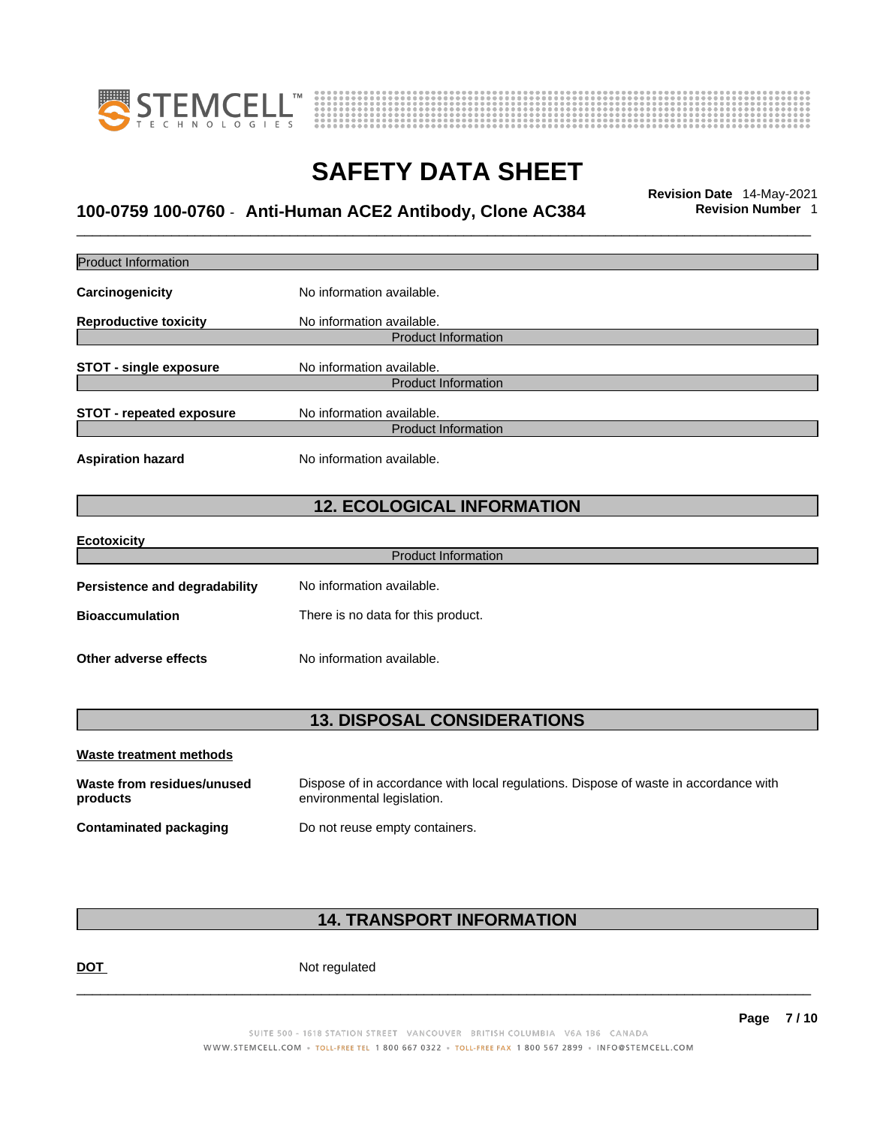



## \_\_\_\_\_\_\_\_\_\_\_\_\_\_\_\_\_\_\_\_\_\_\_\_\_\_\_\_\_\_\_\_\_\_\_\_\_\_\_\_\_\_\_\_\_\_\_\_\_\_\_\_\_\_\_\_\_\_\_\_\_\_\_\_\_\_\_\_\_\_\_\_\_\_\_\_\_\_\_\_\_\_\_\_\_\_\_\_\_\_\_\_\_ **Revision Date** 14-May-2021 **100-0759 100-0760** - **Anti-Human ACE2 Antibody, Clone AC384 Revision Number** 1

| Product Information                    |                                                                                                                    |
|----------------------------------------|--------------------------------------------------------------------------------------------------------------------|
| Carcinogenicity                        | No information available.                                                                                          |
| <b>Reproductive toxicity</b>           | No information available.                                                                                          |
|                                        | <b>Product Information</b>                                                                                         |
| <b>STOT - single exposure</b>          | No information available.                                                                                          |
|                                        | <b>Product Information</b>                                                                                         |
| <b>STOT - repeated exposure</b>        | No information available.                                                                                          |
|                                        | <b>Product Information</b>                                                                                         |
| <b>Aspiration hazard</b>               | No information available.                                                                                          |
|                                        | <b>12. ECOLOGICAL INFORMATION</b>                                                                                  |
| <b>Ecotoxicity</b>                     |                                                                                                                    |
|                                        | <b>Product Information</b>                                                                                         |
| Persistence and degradability          | No information available.                                                                                          |
| <b>Bioaccumulation</b>                 | There is no data for this product.                                                                                 |
| <b>Other adverse effects</b>           | No information available.                                                                                          |
|                                        | <b>13. DISPOSAL CONSIDERATIONS</b>                                                                                 |
| <b>Waste treatment methods</b>         |                                                                                                                    |
| Waste from residues/unused<br>products | Dispose of in accordance with local regulations. Dispose of waste in accordance with<br>environmental legislation. |
| <b>Contaminated packaging</b>          | Do not reuse empty containers.                                                                                     |

### **14. TRANSPORT INFORMATION**

**DOT** Not regulated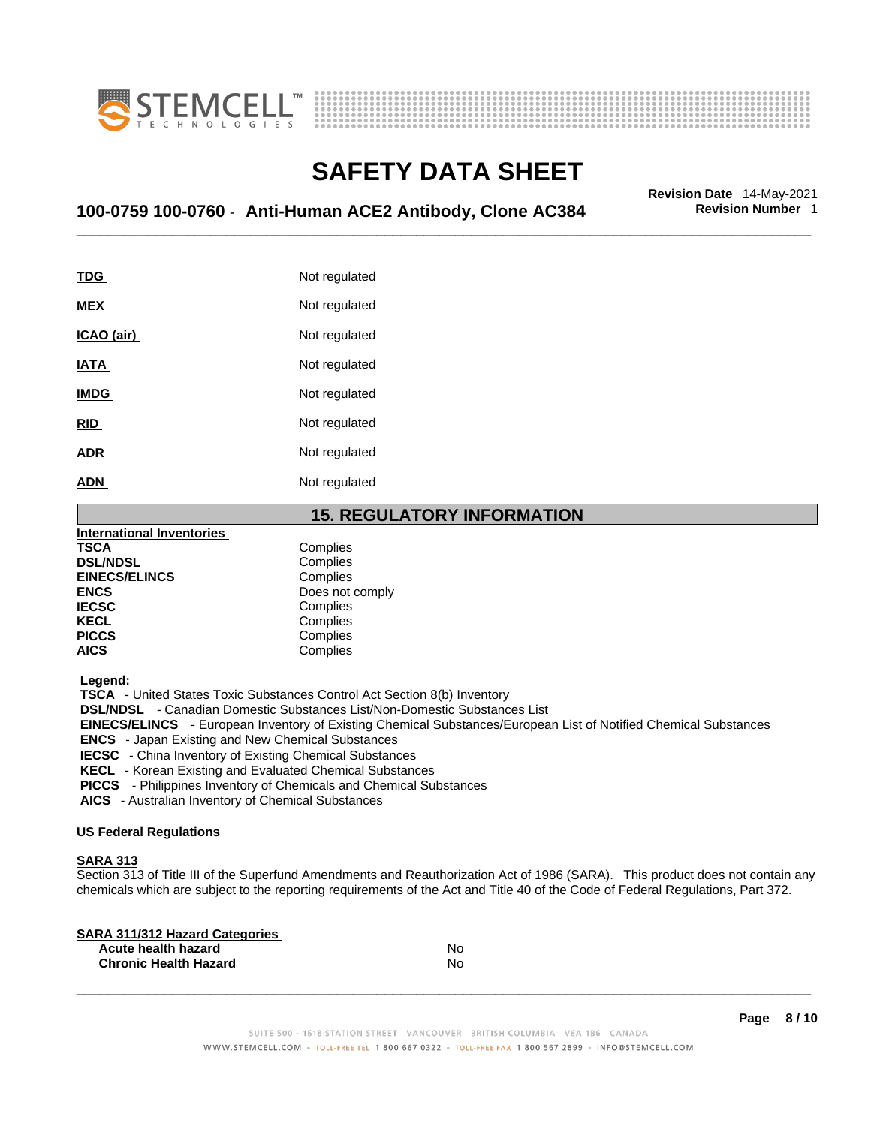



## \_\_\_\_\_\_\_\_\_\_\_\_\_\_\_\_\_\_\_\_\_\_\_\_\_\_\_\_\_\_\_\_\_\_\_\_\_\_\_\_\_\_\_\_\_\_\_\_\_\_\_\_\_\_\_\_\_\_\_\_\_\_\_\_\_\_\_\_\_\_\_\_\_\_\_\_\_\_\_\_\_\_\_\_\_\_\_\_\_\_\_\_\_ **Revision Date** 14-May-2021 **100-0759 100-0760** - **Anti-Human ACE2 Antibody, Clone AC384 Revision Number** 1

**TDG** Not regulated **MEX** Not regulated **ICAO** (air) Not regulated **IATA** Not regulated **IMDG** Not regulated **RID** Not regulated **ADR** Not regulated **ADN** Not regulated

### **15. REGULATORY INFORMATION**

| <b>International Inventories</b> |                 |
|----------------------------------|-----------------|
| <b>TSCA</b>                      | Complies        |
| <b>DSL/NDSL</b>                  | Complies        |
| <b>EINECS/ELINCS</b>             | Complies        |
| <b>ENCS</b>                      | Does not comply |
| <b>IECSC</b>                     | Complies        |
| <b>KECL</b>                      | Complies        |
| <b>PICCS</b>                     | Complies        |
| <b>AICS</b>                      | Complies        |

 **Legend:** 

 **TSCA** - United States Toxic Substances Control Act Section 8(b) Inventory

 **DSL/NDSL** - Canadian Domestic Substances List/Non-Domestic Substances List

 **EINECS/ELINCS** - European Inventory of Existing Chemical Substances/European List of Notified Chemical Substances

 **ENCS** - Japan Existing and New Chemical Substances

 **IECSC** - China Inventory of Existing Chemical Substances

 **KECL** - Korean Existing and Evaluated Chemical Substances

 **PICCS** - Philippines Inventory of Chemicals and Chemical Substances

 **AICS** - Australian Inventory of Chemical Substances

#### **US Federal Regulations**

#### **SARA 313**

Section 313 of Title III of the Superfund Amendments and Reauthorization Act of 1986 (SARA). This product does not contain any chemicals which are subject to the reporting requirements of the Act and Title 40 of the Code of Federal Regulations, Part 372.

| No |  |
|----|--|
| No |  |
|    |  |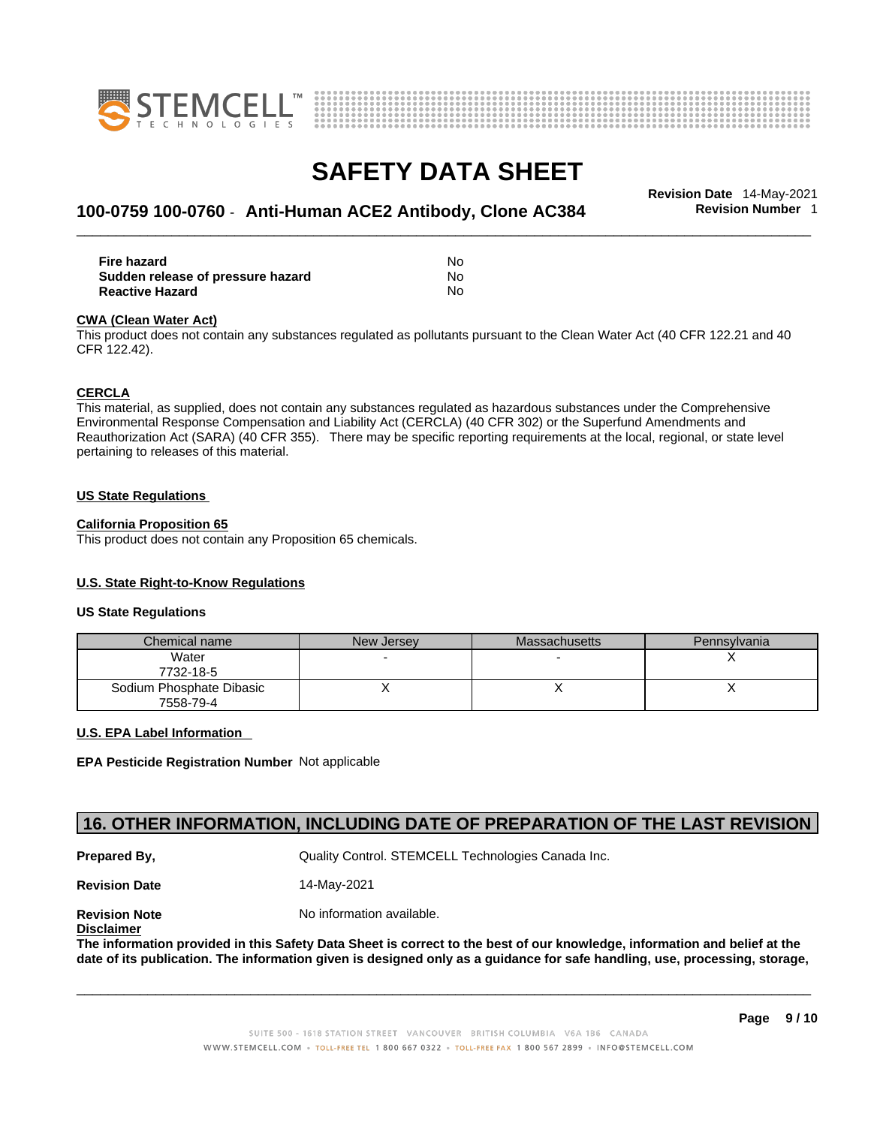



## \_\_\_\_\_\_\_\_\_\_\_\_\_\_\_\_\_\_\_\_\_\_\_\_\_\_\_\_\_\_\_\_\_\_\_\_\_\_\_\_\_\_\_\_\_\_\_\_\_\_\_\_\_\_\_\_\_\_\_\_\_\_\_\_\_\_\_\_\_\_\_\_\_\_\_\_\_\_\_\_\_\_\_\_\_\_\_\_\_\_\_\_\_ **Revision Date** 14-May-2021 **100-0759 100-0760** - **Anti-Human ACE2 Antibody, Clone AC384 Revision Number** 1

| <b>Fire hazard</b>                | No  |  |
|-----------------------------------|-----|--|
| Sudden release of pressure hazard | No. |  |
| <b>Reactive Hazard</b>            | No. |  |

#### **CWA** (Clean Water Act)

This product does not contain any substances regulated as pollutants pursuant to the Clean Water Act (40 CFR 122.21 and 40 CFR 122.42).

#### **CERCLA**

This material, as supplied, does not contain any substances regulated as hazardous substances under the Comprehensive Environmental Response Compensation and Liability Act (CERCLA) (40 CFR 302) or the Superfund Amendments and Reauthorization Act (SARA) (40 CFR 355). There may be specific reporting requirements at the local, regional, or state level pertaining to releases of this material.

#### **US State Regulations**

#### **California Proposition 65**

This product does not contain any Proposition 65 chemicals.

#### **U.S. State Right-to-Know Regulations**

#### **US State Regulations**

| Chemical name                         | New Jersey | Massachusetts | Pennsylvania |
|---------------------------------------|------------|---------------|--------------|
| Water<br>7732-18-5                    |            |               |              |
| Sodium Phosphate Dibasic<br>7558-79-4 |            |               |              |

#### **U.S. EPA Label Information**

**EPA Pesticide Registration Number** Not applicable

### **16. OTHER INFORMATION, INCLUDING DATE OF PREPARATION OF THE LAST REVISION**

**Prepared By, State Control. STEMCELL Technologies Canada Inc.** Canada Inc.

**Revision Date** 14-May-2021

**Disclaimer**

**Revision Note** Noinformation available.

The information provided in this Safety Data Sheet is correct to the best of our knowledge, information and belief at the date of its publication. The information given is designed only as a guidance for safe handling, use, processing, storage,